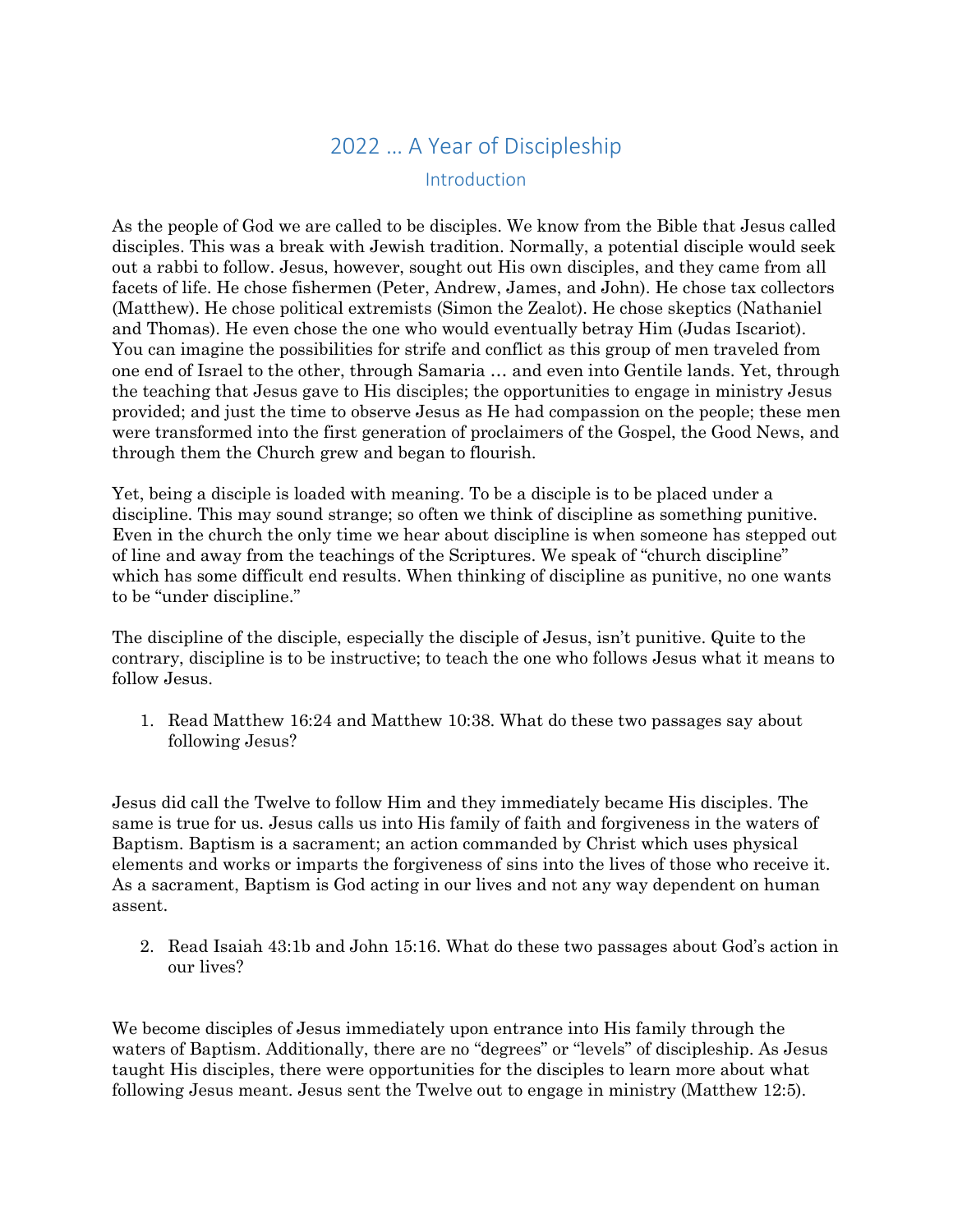## 2022 … A Year of Discipleship Introduction

As the people of God we are called to be disciples. We know from the Bible that Jesus called disciples. This was a break with Jewish tradition. Normally, a potential disciple would seek out a rabbi to follow. Jesus, however, sought out His own disciples, and they came from all facets of life. He chose fishermen (Peter, Andrew, James, and John). He chose tax collectors (Matthew). He chose political extremists (Simon the Zealot). He chose skeptics (Nathaniel and Thomas). He even chose the one who would eventually betray Him (Judas Iscariot). You can imagine the possibilities for strife and conflict as this group of men traveled from one end of Israel to the other, through Samaria … and even into Gentile lands. Yet, through the teaching that Jesus gave to His disciples; the opportunities to engage in ministry Jesus provided; and just the time to observe Jesus as He had compassion on the people; these men were transformed into the first generation of proclaimers of the Gospel, the Good News, and through them the Church grew and began to flourish.

Yet, being a disciple is loaded with meaning. To be a disciple is to be placed under a discipline. This may sound strange; so often we think of discipline as something punitive. Even in the church the only time we hear about discipline is when someone has stepped out of line and away from the teachings of the Scriptures. We speak of "church discipline" which has some difficult end results. When thinking of discipline as punitive, no one wants to be "under discipline."

The discipline of the disciple, especially the disciple of Jesus, isn't punitive. Quite to the contrary, discipline is to be instructive; to teach the one who follows Jesus what it means to follow Jesus.

1. Read Matthew 16:24 and Matthew 10:38. What do these two passages say about following Jesus?

Jesus did call the Twelve to follow Him and they immediately became His disciples. The same is true for us. Jesus calls us into His family of faith and forgiveness in the waters of Baptism. Baptism is a sacrament; an action commanded by Christ which uses physical elements and works or imparts the forgiveness of sins into the lives of those who receive it. As a sacrament, Baptism is God acting in our lives and not any way dependent on human assent.

2. Read Isaiah 43:1b and John 15:16. What do these two passages about God's action in our lives?

We become disciples of Jesus immediately upon entrance into His family through the waters of Baptism. Additionally, there are no "degrees" or "levels" of discipleship. As Jesus taught His disciples, there were opportunities for the disciples to learn more about what following Jesus meant. Jesus sent the Twelve out to engage in ministry (Matthew 12:5).